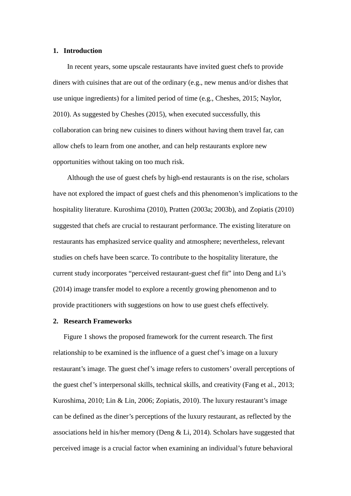#### **1. Introduction**

In recent years, some upscale restaurants have invited guest chefs to provide diners with cuisines that are out of the ordinary (e.g., new menus and/or dishes that use unique ingredients) for a limited period of time (e.g., Cheshes, 2015; Naylor, 2010). As suggested by Cheshes (2015), when executed successfully, this collaboration can bring new cuisines to diners without having them travel far, can allow chefs to learn from one another, and can help restaurants explore new opportunities without taking on too much risk.

Although the use of guest chefs by high-end restaurants is on the rise, scholars have not explored the impact of guest chefs and this phenomenon's implications to the hospitality literature. Kuroshima (2010), Pratten (2003a; 2003b), and Zopiatis (2010) suggested that chefs are crucial to restaurant performance. The existing literature on restaurants has emphasized service quality and atmosphere; nevertheless, relevant studies on chefs have been scarce. To contribute to the hospitality literature, the current study incorporates "perceived restaurant-guest chef fit" into Deng and Li's (2014) image transfer model to explore a recently growing phenomenon and to provide practitioners with suggestions on how to use guest chefs effectively.

## **2. Research Frameworks**

Figure 1 shows the proposed framework for the current research. The first relationship to be examined is the influence of a guest chef's image on a luxury restaurant's image. The guest chef's image refers to customers' overall perceptions of the guest chef's interpersonal skills, technical skills, and creativity (Fang et al., 2013; Kuroshima, 2010; Lin & Lin, 2006; Zopiatis, 2010). The luxury restaurant's image can be defined as the diner's perceptions of the luxury restaurant, as reflected by the associations held in his/her memory (Deng & Li, 2014). Scholars have suggested that perceived image is a crucial factor when examining an individual's future behavioral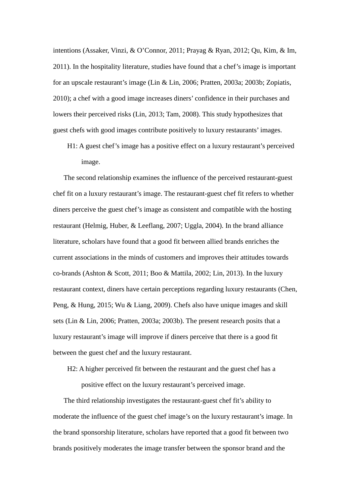intentions (Assaker, Vinzi, & O'Connor, 2011; Prayag & Ryan, 2012; Qu, Kim, & Im, 2011). In the hospitality literature, studies have found that a chef's image is important for an upscale restaurant's image (Lin & Lin, 2006; Pratten, 2003a; 2003b; Zopiatis, 2010); a chef with a good image increases diners' confidence in their purchases and lowers their perceived risks (Lin, 2013; Tam, 2008). This study hypothesizes that guest chefs with good images contribute positively to luxury restaurants' images.

H1: A guest chef's image has a positive effect on a luxury restaurant's perceived image.

The second relationship examines the influence of the perceived restaurant-guest chef fit on a luxury restaurant's image. The restaurant-guest chef fit refers to whether diners perceive the guest chef's image as consistent and compatible with the hosting restaurant (Helmig, Huber, & Leeflang, 2007; Uggla, 2004). In the brand alliance literature, scholars have found that a good fit between allied brands enriches the current associations in the minds of customers and improves their attitudes towards co-brands (Ashton & Scott, 2011; Boo & Mattila, 2002; Lin, 2013). In the luxury restaurant context, diners have certain perceptions regarding luxury restaurants (Chen, Peng, & Hung, 2015; Wu & Liang, 2009). Chefs also have unique images and skill sets (Lin & Lin, 2006; Pratten, 2003a; 2003b). The present research posits that a luxury restaurant's image will improve if diners perceive that there is a good fit between the guest chef and the luxury restaurant.

H2: A higher perceived fit between the restaurant and the guest chef has a positive effect on the luxury restaurant's perceived image.

The third relationship investigates the restaurant-guest chef fit's ability to moderate the influence of the guest chef image's on the luxury restaurant's image. In the brand sponsorship literature, scholars have reported that a good fit between two brands positively moderates the image transfer between the sponsor brand and the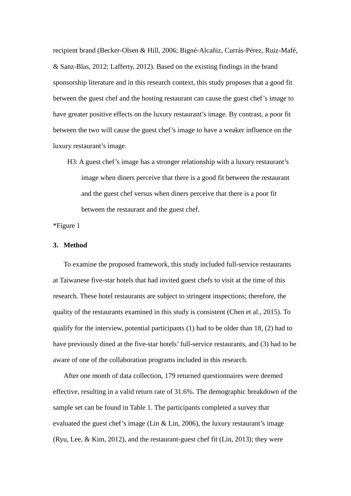recipient brand (Becker-Olsen & Hill, 2006; Bigné-Alcañiz, Currás-Pérez, Ruiz-Mafé, & Sanz-Blas, 2012; Lafferty, 2012). Based on the existing findings in the brand sponsorship literature and in this research context, this study proposes that a good fit between the guest chef and the hosting restaurant can cause the guest chef's image to have greater positive effects on the luxury restaurant's image. By contrast, a poor fit between the two will cause the guest chef's image to have a weaker influence on the luxury restaurant's image.

H3: A guest chef's image has a stronger relationship with a luxury restaurant's image when diners perceive that there is a good fit between the restaurant and the guest chef versus when diners perceive that there is a poor fit between the restaurant and the guest chef.

\*Figure 1

#### **3. Method**

To examine the proposed framework, this study included full-service restaurants at Taiwanese five-star hotels that had invited guest chefs to visit at the time of this research. These hotel restaurants are subject to stringent inspections; therefore, the quality of the restaurants examined in this study is consistent (Chen et al., 2015). To qualify for the interview, potential participants (1) had to be older than 18, (2) had to have previously dined at the five-star hotels' full-service restaurants, and (3) had to be aware of one of the collaboration programs included in this research.

After one month of data collection, 179 returned questionnaires were deemed effective, resulting in a valid return rate of 31.6%. The demographic breakdown of the sample set can be found in Table 1. The participants completed a survey that evaluated the guest chef's image (Lin & Lin, 2006), the luxury restaurant's image (Ryu, Lee, & Kim, 2012), and the restaurant-guest chef fit (Lin, 2013); they were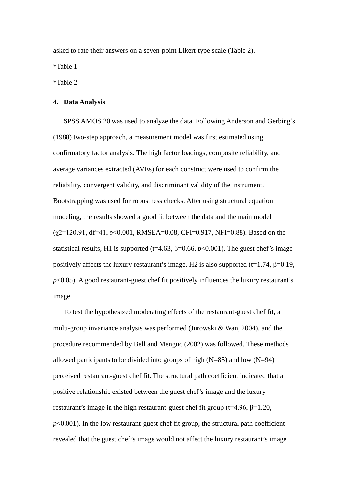asked to rate their answers on a seven-point Likert-type scale (Table 2).

\*Table 1

\*Table 2

## **4. Data Analysis**

SPSS AMOS 20 was used to analyze the data. Following Anderson and Gerbing's (1988) two-step approach, a measurement model was first estimated using confirmatory factor analysis. The high factor loadings, composite reliability, and average variances extracted (AVEs) for each construct were used to confirm the reliability, convergent validity, and discriminant validity of the instrument. Bootstrapping was used for robustness checks. After using structural equation modeling, the results showed a good fit between the data and the main model (χ2=120.91, df=41, *p*<0.001, RMSEA=0.08, CFI=0.917, NFI=0.88). Based on the statistical results, H1 is supported (t=4.63,  $\beta$ =0.66,  $p$ <0.001). The guest chef's image positively affects the luxury restaurant's image. H2 is also supported (t=1.74,  $\beta$ =0.19, *p*<0.05). A good restaurant-guest chef fit positively influences the luxury restaurant's image.

To test the hypothesized moderating effects of the restaurant-guest chef fit, a multi-group invariance analysis was performed (Jurowski & Wan, 2004), and the procedure recommended by Bell and Menguc (2002) was followed. These methods allowed participants to be divided into groups of high  $(N=85)$  and low  $(N=94)$ perceived restaurant-guest chef fit. The structural path coefficient indicated that a positive relationship existed between the guest chef's image and the luxury restaurant's image in the high restaurant-guest chef fit group ( $t=4.96$ ,  $\beta=1.20$ ,  $p<0.001$ ). In the low restaurant-guest chef fit group, the structural path coefficient revealed that the guest chef's image would not affect the luxury restaurant's image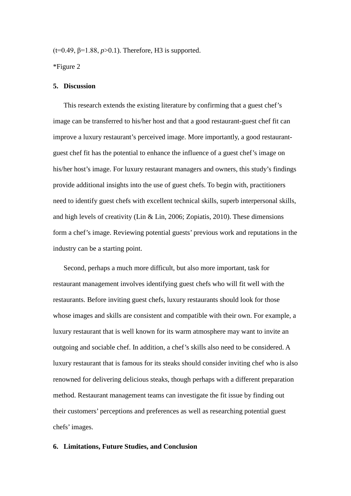(t=0.49, β=1.88, *p*>0.1). Therefore, H3 is supported.

\*Figure 2

### **5. Discussion**

This research extends the existing literature by confirming that a guest chef's image can be transferred to his/her host and that a good restaurant-guest chef fit can improve a luxury restaurant's perceived image. More importantly, a good restaurantguest chef fit has the potential to enhance the influence of a guest chef's image on his/her host's image. For luxury restaurant managers and owners, this study's findings provide additional insights into the use of guest chefs. To begin with, practitioners need to identify guest chefs with excellent technical skills, superb interpersonal skills, and high levels of creativity (Lin & Lin, 2006; Zopiatis, 2010). These dimensions form a chef's image. Reviewing potential guests' previous work and reputations in the industry can be a starting point.

Second, perhaps a much more difficult, but also more important, task for restaurant management involves identifying guest chefs who will fit well with the restaurants. Before inviting guest chefs, luxury restaurants should look for those whose images and skills are consistent and compatible with their own. For example, a luxury restaurant that is well known for its warm atmosphere may want to invite an outgoing and sociable chef. In addition, a chef's skills also need to be considered. A luxury restaurant that is famous for its steaks should consider inviting chef who is also renowned for delivering delicious steaks, though perhaps with a different preparation method. Restaurant management teams can investigate the fit issue by finding out their customers' perceptions and preferences as well as researching potential guest chefs' images.

#### **6. Limitations, Future Studies, and Conclusion**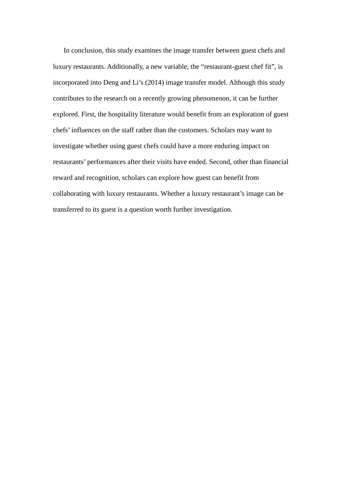In conclusion, this study examines the image transfer between guest chefs and luxury restaurants. Additionally, a new variable, the "restaurant-guest chef fit", is incorporated into Deng and Li's (2014) image transfer model. Although this study contributes to the research on a recently growing phenomenon, it can be further explored. First, the hospitality literature would benefit from an exploration of guest chefs' influences on the staff rather than the customers. Scholars may want to investigate whether using guest chefs could have a more enduring impact on restaurants' performances after their visits have ended. Second, other than financial reward and recognition, scholars can explore how guest can benefit from collaborating with luxury restaurants. Whether a luxury restaurant's image can be transferred to its guest is a question worth further investigation.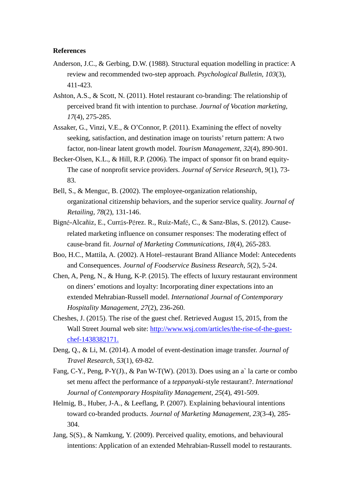## **References**

- Anderson, J.C., & Gerbing, D.W. (1988). Structural equation modelling in practice: A review and recommended two-step approach. *Psychological Bulletin, 103*(3), 411-423.
- Ashton, A.S., & Scott, N. (2011). Hotel restaurant co-branding: The relationship of perceived brand fit with intention to purchase. *Journal of Vocation marketing, 17*(4), 275-285.
- Assaker, G., Vinzi, V.E., & O'Connor, P. (2011). Examining the effect of novelty seeking, satisfaction, and destination image on tourists' return pattern: A two factor, non-linear latent growth model. *Tourism Management, 32*(4), 890-901.
- Becker-Olsen, K.L., & Hill, R.P. (2006). The impact of sponsor fit on brand equity-The case of nonprofit service providers. *Journal of Service Research, 9*(1), 73- 83.
- Bell, S., & Menguc, B. (2002). The employee-organization relationship, organizational citizenship behaviors, and the superior service quality. *Journal of Retailing, 78*(2), 131-146.
- Bigné-Alcañiz, E., Currás-Pérez. R., Ruiz-Mafé, C., & Sanz-Blas, S. (2012). Causerelated marketing influence on consumer responses: The moderating effect of cause-brand fit. *Journal of Marketing Communications, 18*(4), 265-283.
- Boo, H.C., Mattila, A. (2002). A Hotel–restaurant Brand Alliance Model: Antecedents and Consequences. *Journal of Foodservice Business Research, 5*(2), 5-24.
- Chen, A, Peng, N., & Hung, K-P. (2015). The effects of luxury restaurant environment on diners' emotions and loyalty: Incorporating diner expectations into an extended Mehrabian-Russell model. *International Journal of Contemporary Hospitality Management, 27*(2), 236-260.
- Cheshes, J. (2015). The rise of the guest chef. Retrieved August 15, 2015, from the Wall Street Journal web site: [http://www.wsj.com/articles/the-rise-of-the-guest](http://www.wsj.com/articles/the-rise-of-the-guest-chef-1438382171)[chef-1438382171.](http://www.wsj.com/articles/the-rise-of-the-guest-chef-1438382171)
- Deng, Q., & Li, M. (2014). A model of event-destination image transfer. *Journal of Travel Research, 53*(1), 69-82.
- Fang, C-Y., Peng, P-Y(J)., & Pan W-T(W). (2013). Does using an a` la carte or combo set menu affect the performance of a *teppanyaki*-style restaurant?. *International Journal of Contemporary Hospitality Management, 25*(4), 491-509.
- Helmig, B., Huber, J-A., & Leeflang, P. (2007). Explaining behavioural intentions toward co-branded products. *Journal of Marketing Management, 23*(3-4), 285- 304.
- Jang, S(S)., & Namkung, Y. (2009). Perceived quality, emotions, and behavioural intentions: Application of an extended Mehrabian-Russell model to restaurants.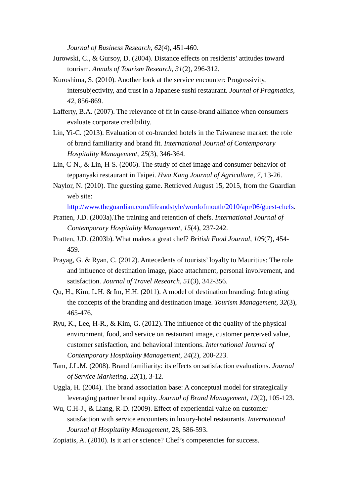*Journal of Business Research, 62*(4), 451-460.

- Jurowski, C., & Gursoy, D. (2004). Distance effects on residents' attitudes toward tourism. *Annals of Tourism Research, 31*(2), 296-312.
- Kuroshima, S. (2010). Another look at the service encounter: Progressivity, intersubjectivity, and trust in a Japanese sushi restaurant. *Journal of Pragmatics, 42*, 856-869.
- Lafferty, B.A. (2007). The relevance of fit in cause-brand alliance when consumers evaluate corporate credibility.
- Lin, Yi-C. (2013). Evaluation of co-branded hotels in the Taiwanese market: the role of brand familiarity and brand fit. *International Journal of Contemporary Hospitality Management, 25*(3), 346-364.
- Lin, C-N., & Lin, H-S. (2006). The study of chef image and consumer behavior of teppanyaki restaurant in Taipei. *Hwa Kang Journal of Agriculture, 7,* 13-26.
- Naylor, N. (2010). The guesting game. Retrieved August 15, 2015, from the Guardian web site:

[http://www.theguardian.com/lifeandstyle/wordofmouth/2010/apr/06/guest-chefs.](http://www.theguardian.com/lifeandstyle/wordofmouth/2010/apr/06/guest-chefs)

- Pratten, J.D. (2003a).The training and retention of chefs. *International Journal of Contemporary Hospitality Management, 15*(4), 237-242.
- Pratten, J.D. (2003b). What makes a great chef? *British Food Journal, 105*(7), 454- 459.
- Prayag, G. & Ryan, C. (2012). Antecedents of tourists' loyalty to Mauritius: The role and influence of destination image, place attachment, personal involvement, and satisfaction. *Journal of Travel Research, 51*(3), 342-356.
- Qu, H., Kim, L.H. & Im, H.H. (2011). A model of destination branding: Integrating the concepts of the branding and destination image. *Tourism Management, 32*(3), 465-476.
- Ryu, K., Lee, H-R., & Kim, G. (2012). The influence of the quality of the physical environment, food, and service on restaurant image, customer perceived value, customer satisfaction, and behavioral intentions. *International Journal of Contemporary Hospitality Management, 24*(2), 200-223.
- Tam, J.L.M. (2008). Brand familiarity: its effects on satisfaction evaluations. *Journal of Service Marketing, 22*(1), 3-12.
- Uggla, H. (2004). The brand association base: A conceptual model for strategically leveraging partner brand equity. *Journal of Brand Management, 12*(2), 105-123.
- Wu, C.H-J., & Liang, R-D. (2009). Effect of experiential value on customer satisfaction with service encounters in luxury-hotel restaurants. *International Journal of Hospitality Management,* 28, 586-593.
- Zopiatis, A. (2010). Is it art or science? Chef's competencies for success.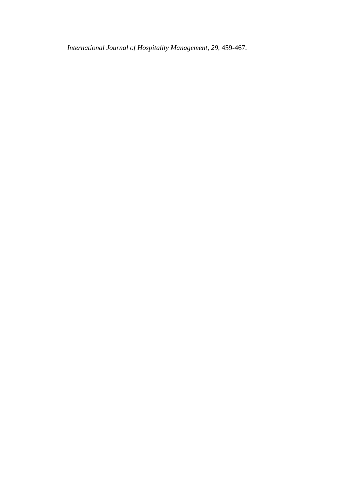*International Journal of Hospitality Management, 29*, 459-467.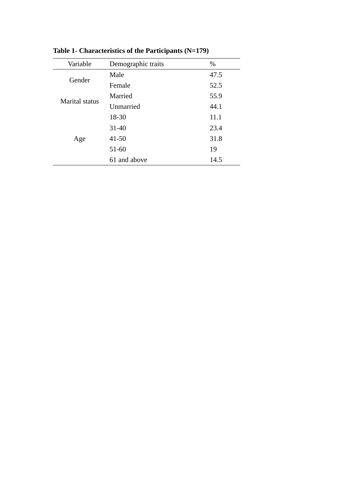| Variable       | Demographic traits | %    |
|----------------|--------------------|------|
| Gender         | Male               | 47.5 |
|                | Female             | 52.5 |
| Marital status | Married            | 55.9 |
|                | Unmarried          | 44.1 |
| Age            | 18-30              | 11.1 |
|                | $31 - 40$          | 23.4 |
|                | $41 - 50$          | 31.8 |
|                | $51 - 60$          | 19   |
|                | 61 and above       | 14.5 |

**Table 1- Characteristics of the Participants (N=179)**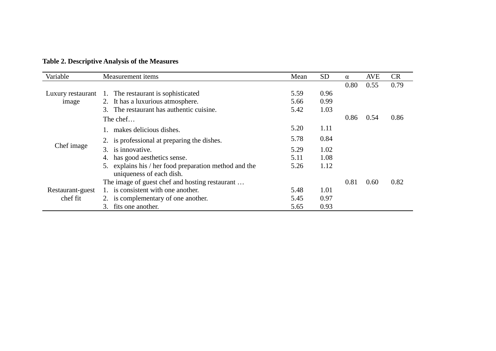**Table 2. Descriptive Analysis of the Measures**

| Variable                   | Measurement items                                        | Mean | <b>SD</b> | $\alpha$ | <b>AVE</b> | <b>CR</b> |
|----------------------------|----------------------------------------------------------|------|-----------|----------|------------|-----------|
|                            |                                                          |      |           | 0.80     | 0.55       | 0.79      |
| Luxury restaurant<br>image | The restaurant is sophisticated<br>1.                    | 5.59 | 0.96      |          |            |           |
|                            | 2. It has a luxurious atmosphere.                        | 5.66 | 0.99      |          |            |           |
|                            | 3. The restaurant has authentic cuisine.                 | 5.42 | 1.03      |          |            |           |
| Chef image                 | The chef                                                 |      |           | 0.86     | 0.54       | 0.86      |
|                            | 1. makes delicious dishes.                               | 5.20 | 1.11      |          |            |           |
|                            | 2. is professional at preparing the dishes.              | 5.78 | 0.84      |          |            |           |
|                            | 3. is innovative.                                        | 5.29 | 1.02      |          |            |           |
|                            | has good aesthetics sense.<br>4.                         | 5.11 | 1.08      |          |            |           |
|                            | explains his / her food preparation method and the<br>5. | 5.26 | 1.12      |          |            |           |
|                            | uniqueness of each dish.                                 |      |           |          |            |           |
|                            | The image of guest chef and hosting restaurant           |      |           | 0.81     | 0.60       | 0.82      |
| Restaurant-guest           | 1. is consistent with one another.                       | 5.48 | 1.01      |          |            |           |
| chef fit                   | 2. is complementary of one another.                      | 5.45 | 0.97      |          |            |           |
|                            | fits one another.<br>3.                                  | 5.65 | 0.93      |          |            |           |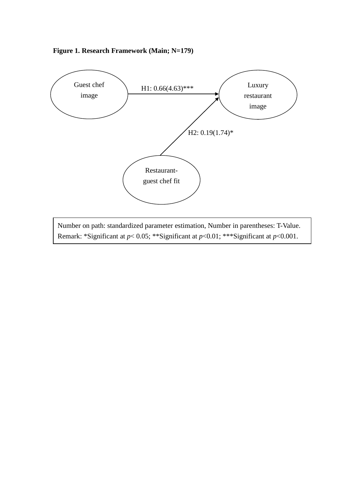

Number on path: standardized parameter estimation, Number in parentheses: T-Value. Remark: \*Significant at *p*< 0.05; \*\*Significant at *p*<0.01; \*\*\*Significant at *p*<0.001.

# **Figure 1. Research Framework (Main; N=179)**